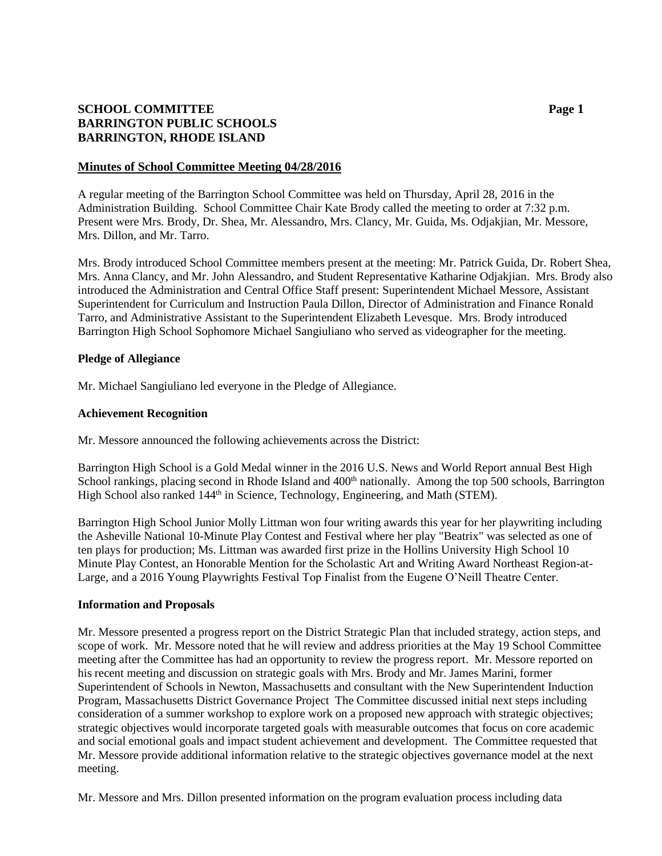# **SCHOOL COMMITTEE Page 1 BARRINGTON PUBLIC SCHOOLS BARRINGTON, RHODE ISLAND**

### **Minutes of School Committee Meeting 04/28/2016**

A regular meeting of the Barrington School Committee was held on Thursday, April 28, 2016 in the Administration Building. School Committee Chair Kate Brody called the meeting to order at 7:32 p.m. Present were Mrs. Brody, Dr. Shea, Mr. Alessandro, Mrs. Clancy, Mr. Guida, Ms. Odjakjian, Mr. Messore, Mrs. Dillon, and Mr. Tarro.

Mrs. Brody introduced School Committee members present at the meeting: Mr. Patrick Guida, Dr. Robert Shea, Mrs. Anna Clancy, and Mr. John Alessandro, and Student Representative Katharine Odjakjian. Mrs. Brody also introduced the Administration and Central Office Staff present: Superintendent Michael Messore, Assistant Superintendent for Curriculum and Instruction Paula Dillon, Director of Administration and Finance Ronald Tarro, and Administrative Assistant to the Superintendent Elizabeth Levesque. Mrs. Brody introduced Barrington High School Sophomore Michael Sangiuliano who served as videographer for the meeting.

### **Pledge of Allegiance**

Mr. Michael Sangiuliano led everyone in the Pledge of Allegiance.

### **Achievement Recognition**

Mr. Messore announced the following achievements across the District:

Barrington High School is a Gold Medal winner in the 2016 U.S. News and World Report annual Best High School rankings, placing second in Rhode Island and 400<sup>th</sup> nationally. Among the top 500 schools, Barrington High School also ranked 144<sup>th</sup> in Science, Technology, Engineering, and Math (STEM).

Barrington High School Junior Molly Littman won four writing awards this year for her playwriting including the Asheville National 10-Minute Play Contest and Festival where her play "Beatrix" was selected as one of ten plays for production; Ms. Littman was awarded first prize in the Hollins University High School 10 Minute Play Contest, an Honorable Mention for the Scholastic Art and Writing Award Northeast Region-at-Large, and a 2016 Young Playwrights Festival Top Finalist from the Eugene O'Neill Theatre Center.

#### **Information and Proposals**

Mr. Messore presented a progress report on the District Strategic Plan that included strategy, action steps, and scope of work. Mr. Messore noted that he will review and address priorities at the May 19 School Committee meeting after the Committee has had an opportunity to review the progress report. Mr. Messore reported on his recent meeting and discussion on strategic goals with Mrs. Brody and Mr. James Marini, former Superintendent of Schools in Newton, Massachusetts and consultant with the New Superintendent Induction Program, Massachusetts District Governance Project The Committee discussed initial next steps including consideration of a summer workshop to explore work on a proposed new approach with strategic objectives; strategic objectives would incorporate targeted goals with measurable outcomes that focus on core academic and social emotional goals and impact student achievement and development. The Committee requested that Mr. Messore provide additional information relative to the strategic objectives governance model at the next meeting.

Mr. Messore and Mrs. Dillon presented information on the program evaluation process including data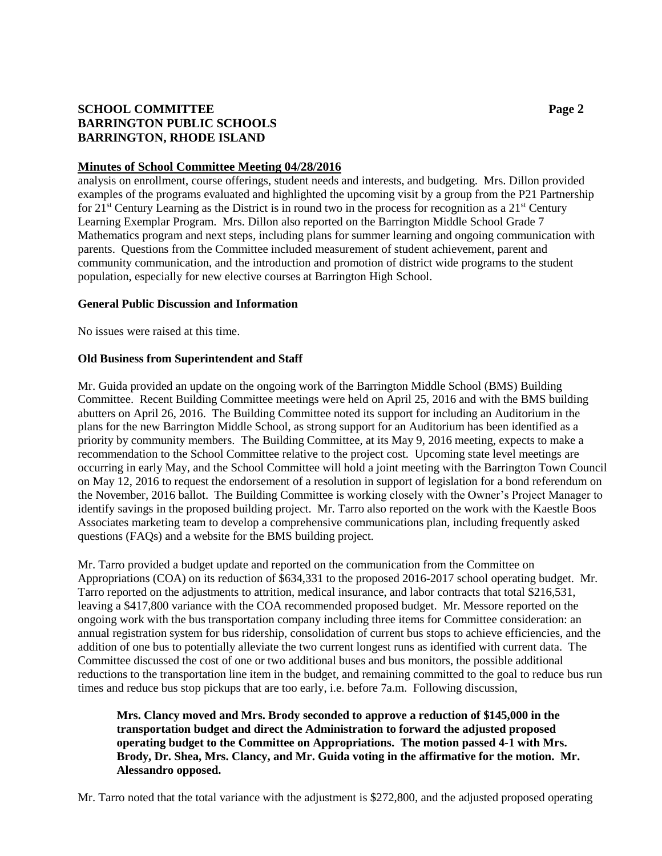# **SCHOOL COMMITTEE Page 2 BARRINGTON PUBLIC SCHOOLS BARRINGTON, RHODE ISLAND**

## **Minutes of School Committee Meeting 04/28/2016**

analysis on enrollment, course offerings, student needs and interests, and budgeting. Mrs. Dillon provided examples of the programs evaluated and highlighted the upcoming visit by a group from the P21 Partnership for  $21^{st}$  Century Learning as the District is in round two in the process for recognition as a  $21^{st}$  Century Learning Exemplar Program. Mrs. Dillon also reported on the Barrington Middle School Grade 7 Mathematics program and next steps, including plans for summer learning and ongoing communication with parents. Questions from the Committee included measurement of student achievement, parent and community communication, and the introduction and promotion of district wide programs to the student population, especially for new elective courses at Barrington High School.

### **General Public Discussion and Information**

No issues were raised at this time.

### **Old Business from Superintendent and Staff**

Mr. Guida provided an update on the ongoing work of the Barrington Middle School (BMS) Building Committee. Recent Building Committee meetings were held on April 25, 2016 and with the BMS building abutters on April 26, 2016. The Building Committee noted its support for including an Auditorium in the plans for the new Barrington Middle School, as strong support for an Auditorium has been identified as a priority by community members. The Building Committee, at its May 9, 2016 meeting, expects to make a recommendation to the School Committee relative to the project cost. Upcoming state level meetings are occurring in early May, and the School Committee will hold a joint meeting with the Barrington Town Council on May 12, 2016 to request the endorsement of a resolution in support of legislation for a bond referendum on the November, 2016 ballot. The Building Committee is working closely with the Owner's Project Manager to identify savings in the proposed building project. Mr. Tarro also reported on the work with the Kaestle Boos Associates marketing team to develop a comprehensive communications plan, including frequently asked questions (FAQs) and a website for the BMS building project.

Mr. Tarro provided a budget update and reported on the communication from the Committee on Appropriations (COA) on its reduction of \$634,331 to the proposed 2016-2017 school operating budget. Mr. Tarro reported on the adjustments to attrition, medical insurance, and labor contracts that total \$216,531, leaving a \$417,800 variance with the COA recommended proposed budget. Mr. Messore reported on the ongoing work with the bus transportation company including three items for Committee consideration: an annual registration system for bus ridership, consolidation of current bus stops to achieve efficiencies, and the addition of one bus to potentially alleviate the two current longest runs as identified with current data. The Committee discussed the cost of one or two additional buses and bus monitors, the possible additional reductions to the transportation line item in the budget, and remaining committed to the goal to reduce bus run times and reduce bus stop pickups that are too early, i.e. before 7a.m. Following discussion,

# **Mrs. Clancy moved and Mrs. Brody seconded to approve a reduction of \$145,000 in the transportation budget and direct the Administration to forward the adjusted proposed operating budget to the Committee on Appropriations. The motion passed 4-1 with Mrs. Brody, Dr. Shea, Mrs. Clancy, and Mr. Guida voting in the affirmative for the motion. Mr. Alessandro opposed.**

Mr. Tarro noted that the total variance with the adjustment is \$272,800, and the adjusted proposed operating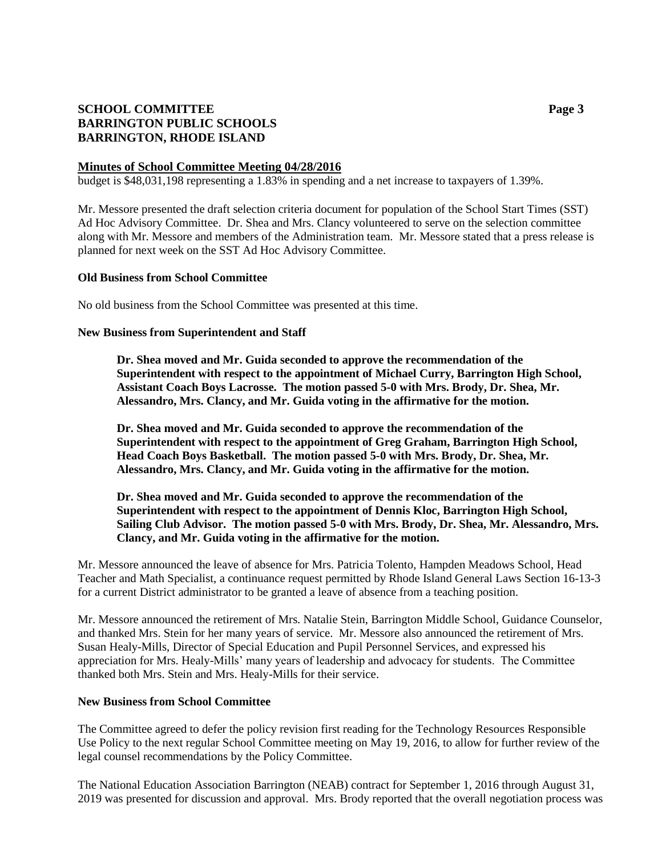# **SCHOOL COMMITTEE Page 3 BARRINGTON PUBLIC SCHOOLS BARRINGTON, RHODE ISLAND**

## **Minutes of School Committee Meeting 04/28/2016**

budget is \$48,031,198 representing a 1.83% in spending and a net increase to taxpayers of 1.39%.

Mr. Messore presented the draft selection criteria document for population of the School Start Times (SST) Ad Hoc Advisory Committee. Dr. Shea and Mrs. Clancy volunteered to serve on the selection committee along with Mr. Messore and members of the Administration team. Mr. Messore stated that a press release is planned for next week on the SST Ad Hoc Advisory Committee.

#### **Old Business from School Committee**

No old business from the School Committee was presented at this time.

### **New Business from Superintendent and Staff**

**Dr. Shea moved and Mr. Guida seconded to approve the recommendation of the Superintendent with respect to the appointment of Michael Curry, Barrington High School, Assistant Coach Boys Lacrosse. The motion passed 5-0 with Mrs. Brody, Dr. Shea, Mr. Alessandro, Mrs. Clancy, and Mr. Guida voting in the affirmative for the motion.**

**Dr. Shea moved and Mr. Guida seconded to approve the recommendation of the Superintendent with respect to the appointment of Greg Graham, Barrington High School, Head Coach Boys Basketball. The motion passed 5-0 with Mrs. Brody, Dr. Shea, Mr. Alessandro, Mrs. Clancy, and Mr. Guida voting in the affirmative for the motion.**

**Dr. Shea moved and Mr. Guida seconded to approve the recommendation of the Superintendent with respect to the appointment of Dennis Kloc, Barrington High School, Sailing Club Advisor. The motion passed 5-0 with Mrs. Brody, Dr. Shea, Mr. Alessandro, Mrs. Clancy, and Mr. Guida voting in the affirmative for the motion.**

Mr. Messore announced the leave of absence for Mrs. Patricia Tolento, Hampden Meadows School, Head Teacher and Math Specialist, a continuance request permitted by Rhode Island General Laws Section 16-13-3 for a current District administrator to be granted a leave of absence from a teaching position.

Mr. Messore announced the retirement of Mrs. Natalie Stein, Barrington Middle School, Guidance Counselor, and thanked Mrs. Stein for her many years of service. Mr. Messore also announced the retirement of Mrs. Susan Healy-Mills, Director of Special Education and Pupil Personnel Services, and expressed his appreciation for Mrs. Healy-Mills' many years of leadership and advocacy for students. The Committee thanked both Mrs. Stein and Mrs. Healy-Mills for their service.

#### **New Business from School Committee**

The Committee agreed to defer the policy revision first reading for the Technology Resources Responsible Use Policy to the next regular School Committee meeting on May 19, 2016, to allow for further review of the legal counsel recommendations by the Policy Committee.

The National Education Association Barrington (NEAB) contract for September 1, 2016 through August 31, 2019 was presented for discussion and approval. Mrs. Brody reported that the overall negotiation process was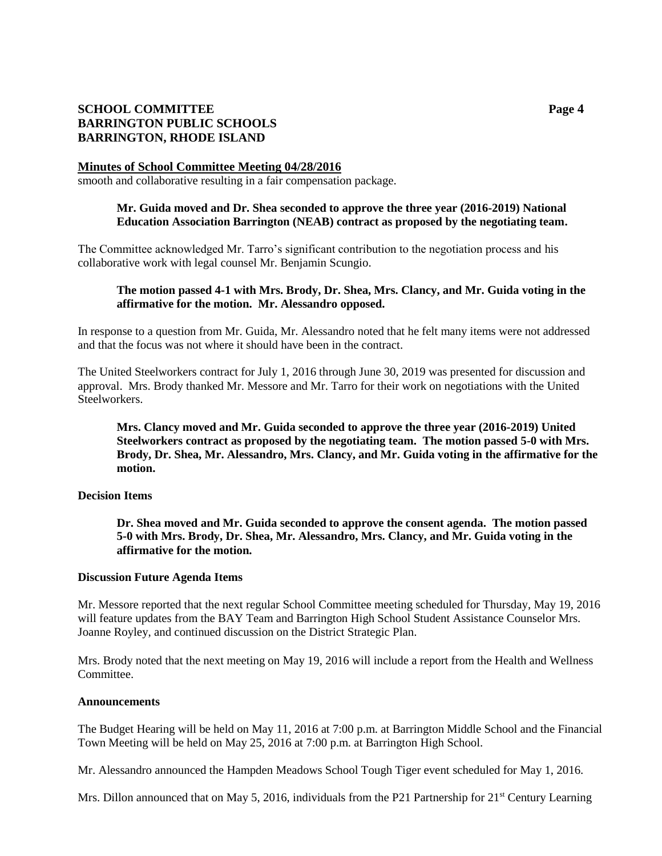# **SCHOOL COMMITTEE Page 4 BARRINGTON PUBLIC SCHOOLS BARRINGTON, RHODE ISLAND**

#### **Minutes of School Committee Meeting 04/28/2016**

smooth and collaborative resulting in a fair compensation package.

## **Mr. Guida moved and Dr. Shea seconded to approve the three year (2016-2019) National Education Association Barrington (NEAB) contract as proposed by the negotiating team.**

The Committee acknowledged Mr. Tarro's significant contribution to the negotiation process and his collaborative work with legal counsel Mr. Benjamin Scungio.

## **The motion passed 4-1 with Mrs. Brody, Dr. Shea, Mrs. Clancy, and Mr. Guida voting in the affirmative for the motion. Mr. Alessandro opposed.**

In response to a question from Mr. Guida, Mr. Alessandro noted that he felt many items were not addressed and that the focus was not where it should have been in the contract.

The United Steelworkers contract for July 1, 2016 through June 30, 2019 was presented for discussion and approval. Mrs. Brody thanked Mr. Messore and Mr. Tarro for their work on negotiations with the United Steelworkers.

**Mrs. Clancy moved and Mr. Guida seconded to approve the three year (2016-2019) United Steelworkers contract as proposed by the negotiating team. The motion passed 5-0 with Mrs. Brody, Dr. Shea, Mr. Alessandro, Mrs. Clancy, and Mr. Guida voting in the affirmative for the motion.**

#### **Decision Items**

**Dr. Shea moved and Mr. Guida seconded to approve the consent agenda. The motion passed 5-0 with Mrs. Brody, Dr. Shea, Mr. Alessandro, Mrs. Clancy, and Mr. Guida voting in the affirmative for the motion.**

#### **Discussion Future Agenda Items**

Mr. Messore reported that the next regular School Committee meeting scheduled for Thursday, May 19, 2016 will feature updates from the BAY Team and Barrington High School Student Assistance Counselor Mrs. Joanne Royley, and continued discussion on the District Strategic Plan.

Mrs. Brody noted that the next meeting on May 19, 2016 will include a report from the Health and Wellness Committee.

#### **Announcements**

The Budget Hearing will be held on May 11, 2016 at 7:00 p.m. at Barrington Middle School and the Financial Town Meeting will be held on May 25, 2016 at 7:00 p.m. at Barrington High School.

Mr. Alessandro announced the Hampden Meadows School Tough Tiger event scheduled for May 1, 2016.

Mrs. Dillon announced that on May 5, 2016, individuals from the P21 Partnership for  $21<sup>st</sup>$  Century Learning